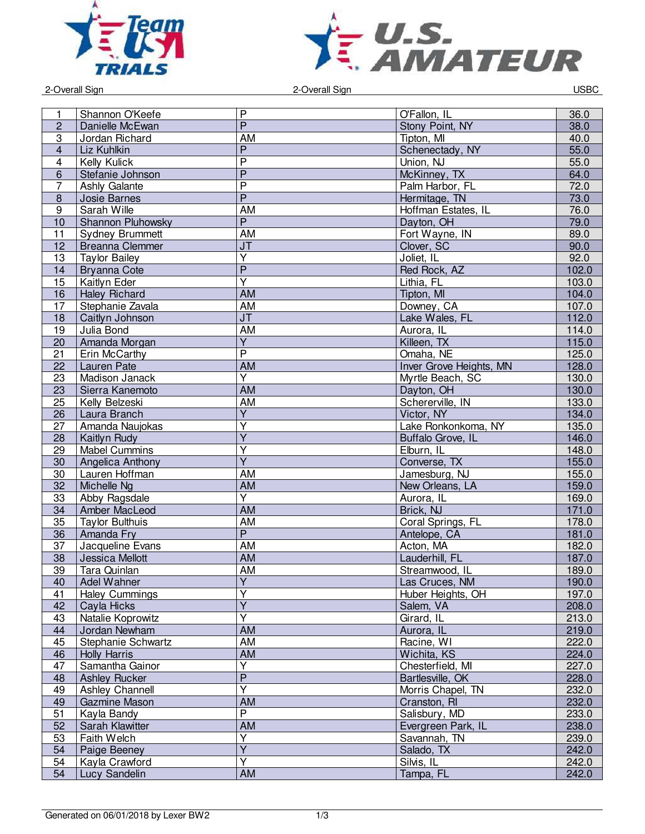



2-Overall Sign 2-Overall Sign USBC

| 1                | Shannon O'Keefe        | $\mathsf{P}$            | O'Fallon, IL            | 36.0  |
|------------------|------------------------|-------------------------|-------------------------|-------|
| $\overline{c}$   | Danielle McEwan        | $\overline{P}$          | Stony Point, NY         | 38.0  |
| 3                | Jordan Richard         | AM                      | Tipton, MI              | 40.0  |
|                  |                        | $\overline{P}$          |                         |       |
| $\overline{4}$   | Liz Kuhlkin            | $\overline{\mathsf{P}}$ | Schenectady, NY         | 55.0  |
| 4                | Kelly Kulick           | $\overline{P}$          | Union, NJ               | 55.0  |
| 6                | Stefanie Johnson       |                         | McKinney, TX            | 64.0  |
| $\overline{7}$   | Ashly Galante          | $\overline{P}$          | Palm Harbor, FL         | 72.0  |
| $\bf 8$          | Josie Barnes           | $\overline{P}$          | Hermitage, TN           | 73.0  |
| $\boldsymbol{9}$ | Sarah Wille            | AM                      | Hoffman Estates, IL     | 76.0  |
| 10               | Shannon Pluhowsky      | $\overline{P}$          | Dayton, OH              | 79.0  |
| 11               | <b>Sydney Brummett</b> | AM                      | Fort Wayne, IN          | 89.0  |
| 12               | <b>Breanna Clemmer</b> | J <sub>T</sub>          | Clover, SC              | 90.0  |
| 13               | <b>Taylor Bailey</b>   | $\overline{\mathsf{Y}}$ | Joliet, IL              | 92.0  |
| 14               | <b>Bryanna Cote</b>    | $\overline{P}$          | Red Rock, AZ            | 102.0 |
| 15               | Kaitlyn Eder           | $\overline{\mathsf{Y}}$ | Lithia, FL              | 103.0 |
| 16               | <b>Haley Richard</b>   | <b>AM</b>               | Tipton, MI              | 104.0 |
| 17               | Stephanie Zavala       | AM                      | Downey, CA              | 107.0 |
| 18               | Caitlyn Johnson        | J <sub>T</sub>          | Lake Wales, FL          | 112.0 |
| 19               | Julia Bond             | <b>AM</b>               | Aurora, IL              | 114.0 |
| 20               | Amanda Morgan          | $\overline{Y}$          | Killeen, TX             | 115.0 |
| 21               | Erin McCarthy          | $\overline{P}$          | Omaha, NE               | 125.0 |
| 22               | <b>Lauren Pate</b>     | AM                      | Inver Grove Heights, MN | 128.0 |
| 23               | <b>Madison Janack</b>  | $\overline{\mathsf{Y}}$ | Myrtle Beach, SC        | 130.0 |
| 23               | Sierra Kanemoto        | $\overline{AM}$         | Dayton, OH              | 130.0 |
| 25               | Kelly Belzeski         | <b>AM</b>               | Schererville, IN        | 133.0 |
| 26               | Laura Branch           | $\overline{Y}$          | Victor, NY              | 134.0 |
| 27               | Amanda Naujokas        | $\overline{\mathsf{Y}}$ | Lake Ronkonkoma, NY     | 135.0 |
| 28               | Kaitlyn Rudy           | $\overline{Y}$          | Buffalo Grove, IL       | 146.0 |
| 29               | <b>Mabel Cummins</b>   | $\overline{\mathsf{Y}}$ | Elburn, IL              | 148.0 |
| 30               | Angelica Anthony       | $\overline{\mathsf{Y}}$ | Converse, TX            | 155.0 |
| 30               | Lauren Hoffman         | AM                      | Jamesburg, NJ           | 155.0 |
| 32               | Michelle Ng            | <b>AM</b>               | New Orleans, LA         | 159.0 |
| 33               | Abby Ragsdale          | $\overline{Y}$          | Aurora, IL              | 169.0 |
| 34               | Amber MacLeod          | <b>AM</b>               | Brick, NJ               | 171.0 |
| 35               | <b>Taylor Bulthuis</b> | AM                      | Coral Springs, FL       | 178.0 |
| 36               | Amanda Fry             | $\overline{P}$          | Antelope, CA            | 181.0 |
| 37               | Jacqueline Evans       | <b>AM</b>               | Acton, MA               | 182.0 |
| 38               | <b>Jessica Mellott</b> | AM                      | Lauderhill, FL          | 187.0 |
| 39               | Tara Quinlan           | <b>AM</b>               | Streamwood, IL          | 189.0 |
| 40               | Adel Wahner            | Y                       | Las Cruces, NM          | 190.0 |
| 41               | <b>Haley Cummings</b>  | $\overline{\mathsf{Y}}$ | Huber Heights, OH       | 197.0 |
| 42               | Cayla Hicks            | $\overline{\mathsf{Y}}$ | Salem, VA               | 208.0 |
| 43               | Natalie Koprowitz      | $\overline{Y}$          | Girard, IL              | 213.0 |
| 44               | Jordan Newham          | <b>AM</b>               | Aurora, IL              | 219.0 |
| 45               | Stephanie Schwartz     | AM                      | Racine, WI              | 222.0 |
| 46               | <b>Holly Harris</b>    | <b>AM</b>               | Wichita, KS             | 224.0 |
| 47               | Samantha Gainor        | $\overline{\mathsf{Y}}$ | Chesterfield, MI        | 227.0 |
| 48               | <b>Ashley Rucker</b>   | $\overline{P}$          | Bartlesville, OK        | 228.0 |
| 49               | Ashley Channell        | $\overline{\mathsf{Y}}$ | Morris Chapel, TN       | 232.0 |
| 49               | Gazmine Mason          | AM                      | Cranston, RI            | 232.0 |
| 51               | Kayla Bandy            | $\overline{P}$          | Salisbury, MD           | 233.0 |
| 52               | Sarah Klawitter        | AM                      | Evergreen Park, IL      | 238.0 |
| 53               | Faith Welch            | Υ                       | Savannah, TN            | 239.0 |
| 54               | Paige Beeney           | $\overline{Y}$          | Salado, TX              | 242.0 |
| 54               | Kayla Crawford         | $\overline{\mathsf{Y}}$ | Silvis, IL              | 242.0 |
| 54               |                        | AM                      | Tampa, FL               |       |
|                  | Lucy Sandelin          |                         |                         | 242.0 |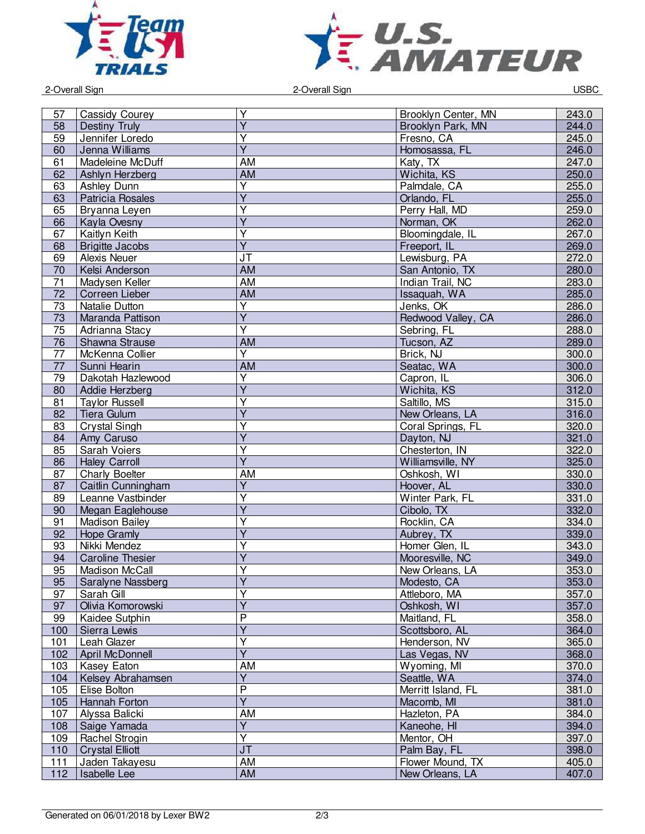



2-Overall Sign 2-Overall Sign USBC

|     |                         | Υ                       | Brooklyn Center, MN | 243.0 |
|-----|-------------------------|-------------------------|---------------------|-------|
| 57  | Cassidy Courey          | $\overline{Y}$          |                     |       |
| 58  | Destiny Truly           |                         | Brooklyn Park, MN   | 244.0 |
| 59  | Jennifer Loredo         | Υ                       | Fresno, CA          | 245.0 |
| 60  | Jenna Williams          | $\overline{Y}$          | Homosassa, FL       | 246.0 |
| 61  | Madeleine McDuff        | <b>AM</b>               | Katy, TX            | 247.0 |
| 62  | Ashlyn Herzberg         | <b>AM</b>               | Wichita, KS         | 250.0 |
| 63  | Ashley Dunn             | $\overline{\mathsf{Y}}$ | Palmdale, CA        | 255.0 |
| 63  | Patricia Rosales        | $\overline{\mathsf{Y}}$ | Orlando, FL         | 255.0 |
| 65  | Bryanna Leyen           | $\overline{\mathsf{Y}}$ | Perry Hall, MD      | 259.0 |
| 66  | Kayla Ovesny            | $\overline{Y}$          | Norman, OK          | 262.0 |
| 67  | <b>Kaitlyn Keith</b>    | $\overline{\mathsf{Y}}$ | Bloomingdale, IL    | 267.0 |
| 68  | <b>Brigitte Jacobs</b>  | $\overline{\mathsf{Y}}$ | Freeport, IL        | 269.0 |
| 69  | <b>Alexis Neuer</b>     | JT                      | Lewisburg, PA       | 272.0 |
| 70  | Kelsi Anderson          | <b>AM</b>               | San Antonio, TX     | 280.0 |
| 71  | Madysen Keller          | <b>AM</b>               | Indian Trail, NC    | 283.0 |
| 72  | Correen Lieber          | <b>AM</b>               | Issaquah, WA        | 285.0 |
| 73  | Natalie Dutton          | $\overline{\mathsf{Y}}$ | Jenks, OK           | 286.0 |
| 73  | Maranda Pattison        | $\overline{Y}$          | Redwood Valley, CA  | 286.0 |
| 75  | Adrianna Stacy          | $\overline{\mathsf{Y}}$ | Sebring, FL         | 288.0 |
| 76  | Shawna Strause          | <b>AM</b>               | Tucson, AZ          | 289.0 |
| 77  | McKenna Collier         | $\overline{Y}$          | Brick, NJ           | 300.0 |
| 77  | Sunni Hearin            | AM                      | Seatac, WA          | 300.0 |
| 79  | Dakotah Hazlewood       | Υ                       | Capron, IL          | 306.0 |
| 80  | Addie Herzberg          | $\overline{Y}$          | Wichita, KS         | 312.0 |
| 81  | <b>Taylor Russell</b>   | $\overline{Y}$          | Saltillo, MS        | 315.0 |
| 82  | Tiera Gulum             | $\overline{Y}$          | New Orleans, LA     | 316.0 |
| 83  | Crystal Singh           | Ÿ                       | Coral Springs, FL   | 320.0 |
|     |                         | $\overline{\mathsf{Y}}$ |                     |       |
| 84  | Amy Caruso              | $\overline{\mathsf{Y}}$ | Dayton, NJ          | 321.0 |
| 85  | Sarah Voiers            |                         | Chesterton, IN      | 322.0 |
| 86  | <b>Haley Carroll</b>    | $\overline{\mathsf{Y}}$ | Williamsville, NY   | 325.0 |
| 87  | <b>Charly Boelter</b>   | AM                      | Oshkosh, WI         | 330.0 |
| 87  | Caitlin Cunningham      | $\overline{\mathsf{Y}}$ | Hoover, AL          | 330.0 |
| 89  | Leanne Vastbinder       | Ÿ                       | Winter Park, FL     | 331.0 |
| 90  | Megan Eaglehouse        | $\overline{\mathsf{Y}}$ | Cibolo, TX          | 332.0 |
| 91  | <b>Madison Bailey</b>   | Y                       | Rocklin, CA         | 334.0 |
| 92  | Hope Gramly             | $\overline{Y}$          | Aubrey, TX          | 339.0 |
| 93  | Nikki Mendez            | Ÿ                       | Homer Glen, IL      | 343.0 |
| 94  | <b>Caroline Thesier</b> | $\overline{Y}$          | Mooresville, NC     | 349.0 |
| 95  | Madison McCall          | $\overline{\mathsf{Y}}$ | New Orleans, LA     | 353.0 |
| 95  | Saralyne Nassberg       | Υ                       | Modesto, CA         | 353.0 |
| 97  | Sarah Gill              | $\overline{\mathsf{Y}}$ | Attleboro, MA       | 357.0 |
| 97  | Olivia Komorowski       | $\overline{\mathsf{Y}}$ | Oshkosh, WI         | 357.0 |
| 99  | Kaidee Sutphin          | $\overline{P}$          | Maitland, FL        | 358.0 |
| 100 | Sierra Lewis            | $\overline{Y}$          | Scottsboro, AL      | 364.0 |
| 101 | Leah Glazer             | Y                       | Henderson, NV       | 365.0 |
| 102 | April McDonnell         | $\overline{\mathsf{Y}}$ | Las Vegas, NV       | 368.0 |
| 103 | Kasey Eaton             | AM                      | Wyoming, MI         | 370.0 |
| 104 | Kelsey Abrahamsen       | $\overline{\mathsf{Y}}$ | Seattle, WA         | 374.0 |
| 105 | Elise Bolton            | $\overline{P}$          | Merritt Island, FL  | 381.0 |
| 105 | Hannah Forton           | $\overline{Y}$          | Macomb, MI          | 381.0 |
| 107 | Alyssa Balicki          | AM                      | Hazleton, PA        | 384.0 |
| 108 | Saige Yamada            | $\overline{Y}$          | Kaneohe, HI         | 394.0 |
| 109 | Rachel Strogin          | $\overline{\mathsf{Y}}$ | Mentor, OH          | 397.0 |
| 110 | <b>Crystal Elliott</b>  | JT                      | Palm Bay, FL        | 398.0 |
| 111 | Jaden Takayesu          | AM                      | Flower Mound, TX    | 405.0 |
|     |                         | <b>AM</b>               |                     |       |
| 112 | <b>Isabelle Lee</b>     |                         | New Orleans, LA     | 407.0 |